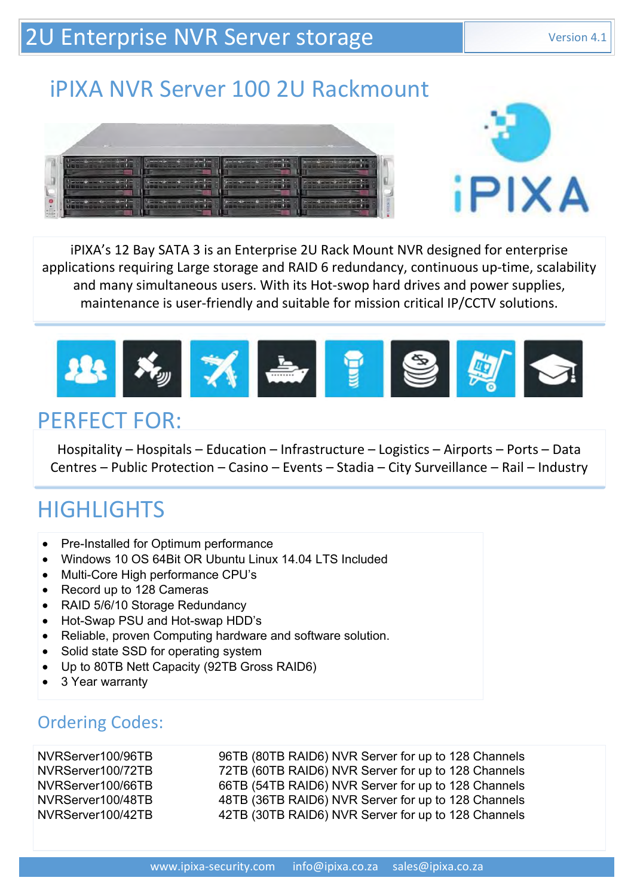## 2U Enterprise NVR Server storage Version 4.1

Page 1

# iPIXA NVR Server 100 2U Rackmount





iPIXA's 12 Bay SATA 3 is an Enterprise 2U Rack Mount NVR designed for enterprise applications requiring Large storage and RAID 6 redundancy, continuous up-time, scalability and many simultaneous users. With its Hot-swop hard drives and power supplies, maintenance is user-friendly and suitable for mission critical IP/CCTV solutions.



#### PERFECT FOR:

Hospitality – Hospitals – Education – Infrastructure – Logistics – Airports – Ports – Data Centres – Public Protection – Casino – Events – Stadia – City Surveillance – Rail – Industry

# **HIGHLIGHTS**

- Pre-Installed for Optimum performance
- Windows 10 OS 64Bit OR Ubuntu Linux 14.04 LTS Included
- Multi-Core High performance CPU's
- Record up to 128 Cameras
- RAID 5/6/10 Storage Redundancy
- Hot-Swap PSU and Hot-swap HDD's
- Reliable, proven Computing hardware and software solution.
- Solid state SSD for operating system
- Up to 80TB Nett Capacity (92TB Gross RAID6)
- 3 Year warranty

#### Ordering Codes:

NVRServer100/96TB 96TB (80TB RAID6) NVR Server for up to 128 Channels - Pre-Installed for Optimum performance<br>
• Windows 10 OS 64Bit OR Ubuntu Linux 14.04 LTS Included<br>
• Multi-Core High performance CPU's<br>
• RaOrd to 128 Cameras<br>
• RAID 5/6/10 Storage Redundancy<br>
• Hot-Swap PSU and Hot-swap 1 I G FI LIG FI I S<br>
■ Windows 10 OS 64B for Clubintu Linux 14.04 LTS Included<br>
■ Multi-Core High performance CPU's<br>
■ RAID 5/6/10 Storger Redundancy<br>
■ RAID 5/6/10 Storger Rouge Redundancy<br>
■ Record up to 128 Cameras<br>
■ • Pre-Installed for Optimum performance<br>
• Windows 10 OS 64Bit OR Ubuntu Linux 14.04 LTS Included<br>
• Muti-Core High performance CPU's<br>
• Record up to 128 Cameras<br>
• RAID 5/6/10 Storage Redundancy<br>
• Hot-Swap PSU and Hot-sw • Pre-Installed for Optimum performance<br>
• Multi-Core High performance CPUs<br>
• Multi-Core High performance CPUs<br>
• Record up to 128 Cameras<br>
• RAID 5/6/10 Storage Redundancy<br>
• Hel-Swap PSU and Hot-swap HDD's<br>
• Cheliable